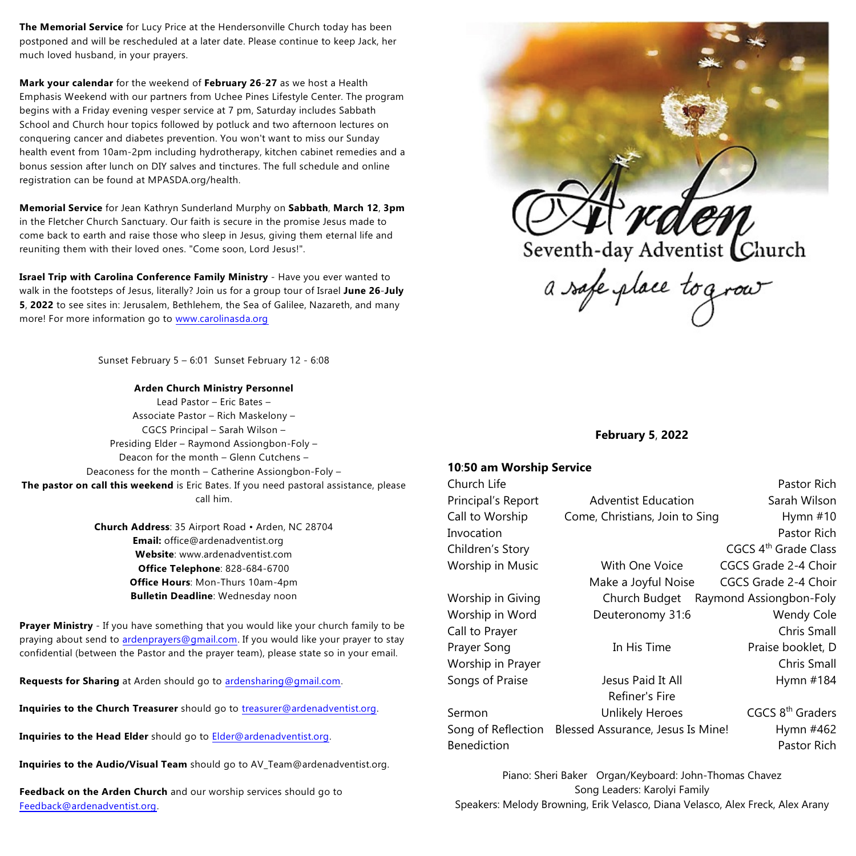**The Memorial Service** for Lucy Price at the Hendersonville Church today has been postponed and will be rescheduled at a later date. Please continue to keep Jack, her much loved husband, in your prayers.

**Mark your calendar** for the weekend of **February 26**-**27** as we host a Health Emphasis Weekend with our partners from Uchee Pines Lifestyle Center. The program begins with a Friday evening vesper service at 7 pm, Saturday includes Sabbath School and Church hour topics followed by potluck and two afternoon lectures on conquering cancer and diabetes prevention. You won't want to miss our Sunday health event from 10am-2pm including hydrotherapy, kitchen cabinet remedies and a bonus session after lunch on DIY salves and tinctures. The full schedule and online registration can be found at MPASDA.org/health.

**Memorial Service** for Jean Kathryn Sunderland Murphy on **Sabbath**, **March 12**, **3pm** in the Fletcher Church Sanctuary. Our faith is secure in the promise Jesus made to come back to earth and raise those who sleep in Jesus, giving them eternal life and reuniting them with their loved ones. "Come soon, Lord Jesus!".

**Israel Trip with Carolina Conference Family Ministry** - Have you ever wanted to walk in the footsteps of Jesus, literally? Join us for a group tour of Israel **June 26**-**July 5**, **2022** to see sites in: Jerusalem, Bethlehem, the Sea of Galilee, Nazareth, and many more! For more information go to [www.carolinasda.org](http://www.carolinasda.org)

Sunset February 5 – 6:01 Sunset February 12 - 6:08

**Arden Church Ministry Personnel** Lead Pastor – Eric Bates – Associate Pastor – Rich Maskelony – CGCS Principal – Sarah Wilson – Presiding Elder – Raymond Assiongbon-Foly – Deacon for the month – Glenn Cutchens – Deaconess for the month – Catherine Assiongbon-Foly – **The pastor on call this weekend** is Eric Bates. If you need pastoral assistance, please call him.

> **Church Address**: 35 Airport Road • Arden, NC 28704 **Email:** office@ardenadventist.org **Website**: www.ardenadventist.com **Office Telephone**: 828-684-6700 **Office Hours**: Mon-Thurs 10am-4pm **Bulletin Deadline**: Wednesday noon

**Prayer Ministry** - If you have something that you would like your church family to be praying about send to [ardenprayers@gmail.com](mailto:ardenprayers@gmail.com). If you would like your prayer to stay confidential (between the Pastor and the prayer team), please state so in your email.

**Requests for Sharing** at Arden should go to [ardensharing@gmail.com](mailto:ardensharing@gmail.com).

**Inquiries to the Church Treasurer** should go to [treasurer@ardenadventist.org](mailto:treasurer@ardenadventist.org).

**Inquiries to the Head Elder** should go to [Elder@ardenadventist.org](mailto:Elder@ardenadventist.org).

**Inquiries to the Audio/Visual Team** should go to AV\_Team@ardenadventist.org.

**Feedback on the Arden Church** and our worship services should go to [Feedback@ardenadventist.org](mailto:Feedback@ardenadventist.org).



**February 5**, **2022**

## **10**:**50 am Worship Service**

| Church Life        |                                   | Pastor Rich                      |
|--------------------|-----------------------------------|----------------------------------|
| Principal's Report | <b>Adventist Education</b>        | Sarah Wilson                     |
| Call to Worship    | Come, Christians, Join to Sing    | Hymn $#10$                       |
| Invocation         |                                   | Pastor Rich                      |
| Children's Story   |                                   | CGCS 4 <sup>th</sup> Grade Class |
| Worship in Music   | With One Voice                    | CGCS Grade 2-4 Choir             |
|                    | Make a Joyful Noise               | CGCS Grade 2-4 Choir             |
| Worship in Giving  | Church Budget                     | Raymond Assiongbon-Foly          |
| Worship in Word    | Deuteronomy 31:6                  | Wendy Cole                       |
| Call to Prayer     |                                   | Chris Small                      |
| Prayer Song        | In His Time                       | Praise booklet, D                |
| Worship in Prayer  |                                   | Chris Small                      |
| Songs of Praise    | Jesus Paid It All                 | Hymn #184                        |
|                    | Refiner's Fire                    |                                  |
| Sermon             | <b>Unlikely Heroes</b>            | CGCS 8 <sup>th</sup> Graders     |
| Song of Reflection | Blessed Assurance, Jesus Is Mine! | Hymn #462                        |
| <b>Benediction</b> |                                   | Pastor Rich                      |
|                    |                                   |                                  |

Piano: Sheri Baker Organ/Keyboard: John-Thomas Chavez Song Leaders: Karolyi Family Speakers: Melody Browning, Erik Velasco, Diana Velasco, Alex Freck, Alex Arany